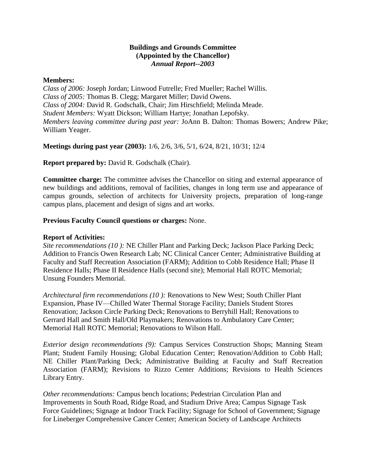## **Buildings and Grounds Committee (Appointed by the Chancellor)** *Annual Report--2003*

## **Members:**

*Class of 2006:* Joseph Jordan; Linwood Futrelle; Fred Mueller; Rachel Willis. *Class of 2005:* Thomas B. Clegg; Margaret Miller; David Owens. *Class of 2004:* David R. Godschalk, Chair; Jim Hirschfield; Melinda Meade. *Student Members:* Wyatt Dickson; William Hartye; Jonathan Lepofsky. *Members leaving committee during past year:* JoAnn B. Dalton: Thomas Bowers; Andrew Pike; William Yeager.

**Meetings during past year (2003):** 1/6, 2/6, 3/6, 5/1, 6/24, 8/21, 10/31; 12/4

**Report prepared by:** David R. Godschalk (Chair).

**Committee charge:** The committee advises the Chancellor on siting and external appearance of new buildings and additions, removal of facilities, changes in long term use and appearance of campus grounds, selection of architects for University projects, preparation of long-range campus plans, placement and design of signs and art works.

## **Previous Faculty Council questions or charges:** None.

## **Report of Activities:**

*Site recommendations (10 ):* NE Chiller Plant and Parking Deck; Jackson Place Parking Deck; Addition to Francis Owen Research Lab; NC Clinical Cancer Center; Administrative Building at Faculty and Staff Recreation Association (FARM); Addition to Cobb Residence Hall; Phase II Residence Halls; Phase II Residence Halls (second site); Memorial Hall ROTC Memorial; Unsung Founders Memorial.

*Architectural firm recommendations (10 ):* Renovations to New West; South Chiller Plant Expansion, Phase IV—Chilled Water Thermal Storage Facility; Daniels Student Stores Renovation; Jackson Circle Parking Deck; Renovations to Berryhill Hall; Renovations to Gerrard Hall and Smith Hall/Old Playmakers; Renovations to Ambulatory Care Center; Memorial Hall ROTC Memorial; Renovations to Wilson Hall.

*Exterior design recommendations (9):* Campus Services Construction Shops; Manning Steam Plant; Student Family Housing; Global Education Center; Renovation/Addition to Cobb Hall; NE Chiller Plant/Parking Deck; Administrative Building at Faculty and Staff Recreation Association (FARM); Revisions to Rizzo Center Additions; Revisions to Health Sciences Library Entry.

*Other recommendations:* Campus bench locations; Pedestrian Circulation Plan and Improvements in South Road, Ridge Road, and Stadium Drive Area; Campus Signage Task Force Guidelines; Signage at Indoor Track Facility; Signage for School of Government; Signage for Lineberger Comprehensive Cancer Center; American Society of Landscape Architects